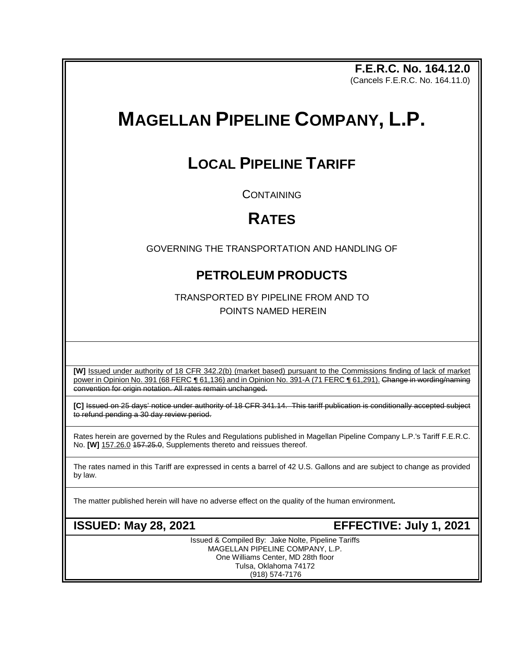**F.E.R.C. No. 164.12.0** (Cancels F.E.R.C. No. 164.11.0)

# **MAGELLAN PIPELINE COMPANY, L.P.**

## **LOCAL PIPELINE TARIFF**

**CONTAINING** 

## **RATES**

GOVERNING THE TRANSPORTATION AND HANDLING OF

### **PETROLEUM PRODUCTS**

TRANSPORTED BY PIPELINE FROM AND TO POINTS NAMED HEREIN

**[W]** Issued under authority of 18 CFR 342.2(b) (market based) pursuant to the Commissions finding of lack of market power in Opinion No. 391 (68 FERC ¶ 61,136) and in Opinion No. 391-A (71 FERC ¶ 61,291). Change in wording/naming convention for origin notation. All rates remain unchanged.

**[C]** Issued on 25 days' notice under authority of 18 CFR 341.14. This tariff publication is conditionally accepted subject to refund pending a 30 day review period.

Rates herein are governed by the Rules and Regulations published in Magellan Pipeline Company L.P.'s Tariff F.E.R.C. No. **[W]** 157.26.0 157.25.0, Supplements thereto and reissues thereof.

The rates named in this Tariff are expressed in cents a barrel of 42 U.S. Gallons and are subject to change as provided by law.

The matter published herein will have no adverse effect on the quality of the human environment**.**

**ISSUED: May 28, 2021 EFFECTIVE: July 1, 2021**

Issued & Compiled By: Jake Nolte, Pipeline Tariffs MAGELLAN PIPELINE COMPANY, L.P. One Williams Center, MD 28th floor Tulsa, Oklahoma 74172 (918) 574-7176